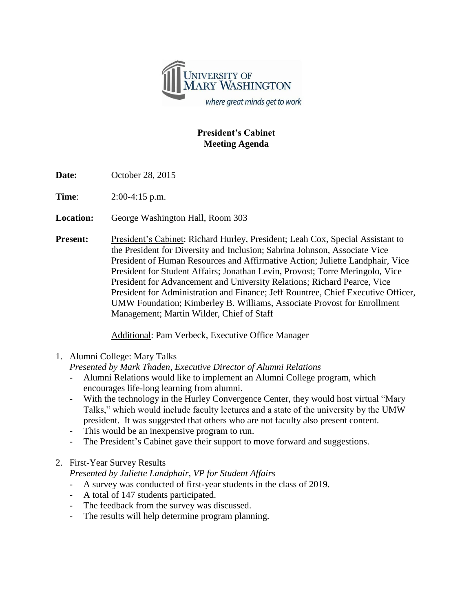

## **President's Cabinet Meeting Agenda**

**Date:** October 28, 2015

**Time**: 2:00-4:15 p.m.

**Location:** George Washington Hall, Room 303

**Present:** President's Cabinet: Richard Hurley, President; Leah Cox, Special Assistant to the President for Diversity and Inclusion; Sabrina Johnson, Associate Vice President of Human Resources and Affirmative Action; Juliette Landphair, Vice President for Student Affairs; Jonathan Levin, Provost; Torre Meringolo, Vice President for Advancement and University Relations; Richard Pearce, Vice President for Administration and Finance; Jeff Rountree, Chief Executive Officer, UMW Foundation; Kimberley B. Williams, Associate Provost for Enrollment Management; Martin Wilder, Chief of Staff

Additional: Pam Verbeck, Executive Office Manager

1. Alumni College: Mary Talks

*Presented by Mark Thaden, Executive Director of Alumni Relations*

- Alumni Relations would like to implement an Alumni College program, which encourages life-long learning from alumni.
- With the technology in the Hurley Convergence Center, they would host virtual "Mary Talks," which would include faculty lectures and a state of the university by the UMW president. It was suggested that others who are not faculty also present content.
- This would be an inexpensive program to run.
- The President's Cabinet gave their support to move forward and suggestions.
- 2. First-Year Survey Results

*Presented by Juliette Landphair, VP for Student Affairs*

- A survey was conducted of first-year students in the class of 2019.
- A total of 147 students participated.
- The feedback from the survey was discussed.
- The results will help determine program planning.